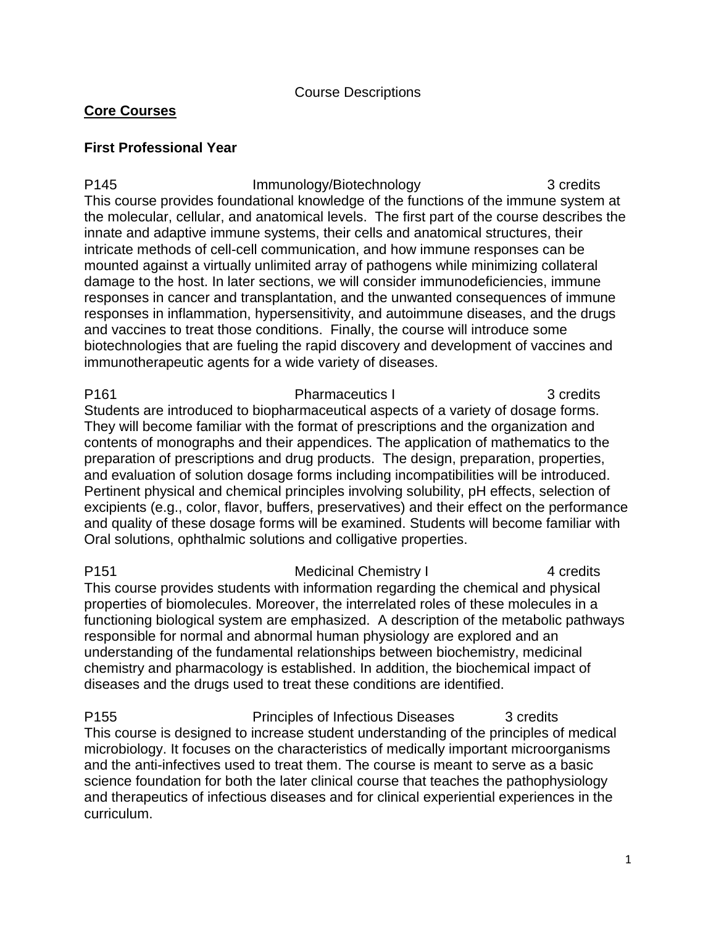Course Descriptions

## **Core Courses**

## **First Professional Year**

P145 **Immunology/Biotechnology** 3 credits This course provides foundational knowledge of the functions of the immune system at the molecular, cellular, and anatomical levels. The first part of the course describes the innate and adaptive immune systems, their cells and anatomical structures, their intricate methods of cell-cell communication, and how immune responses can be mounted against a virtually unlimited array of pathogens while minimizing collateral damage to the host. In later sections, we will consider immunodeficiencies, immune responses in cancer and transplantation, and the unwanted consequences of immune responses in inflammation, hypersensitivity, and autoimmune diseases, and the drugs and vaccines to treat those conditions. Finally, the course will introduce some biotechnologies that are fueling the rapid discovery and development of vaccines and immunotherapeutic agents for a wide variety of diseases.

P161 **Pharmaceutics I** 3 credits Students are introduced to biopharmaceutical aspects of a variety of dosage forms. They will become familiar with the format of prescriptions and the organization and contents of monographs and their appendices. The application of mathematics to the preparation of prescriptions and drug products. The design, preparation, properties, and evaluation of solution dosage forms including incompatibilities will be introduced. Pertinent physical and chemical principles involving solubility, pH effects, selection of excipients (e.g., color, flavor, buffers, preservatives) and their effect on the performance and quality of these dosage forms will be examined. Students will become familiar with Oral solutions, ophthalmic solutions and colligative properties.

P151 Medicinal Chemistry I 4 credits This course provides students with information regarding the chemical and physical properties of biomolecules. Moreover, the interrelated roles of these molecules in a functioning biological system are emphasized. A description of the metabolic pathways responsible for normal and abnormal human physiology are explored and an understanding of the fundamental relationships between biochemistry, medicinal chemistry and pharmacology is established. In addition, the biochemical impact of diseases and the drugs used to treat these conditions are identified.

P155 **Principles of Infectious Diseases** 3 credits This course is designed to increase student understanding of the principles of medical microbiology. It focuses on the characteristics of medically important microorganisms and the anti-infectives used to treat them. The course is meant to serve as a basic science foundation for both the later clinical course that teaches the pathophysiology and therapeutics of infectious diseases and for clinical experiential experiences in the curriculum.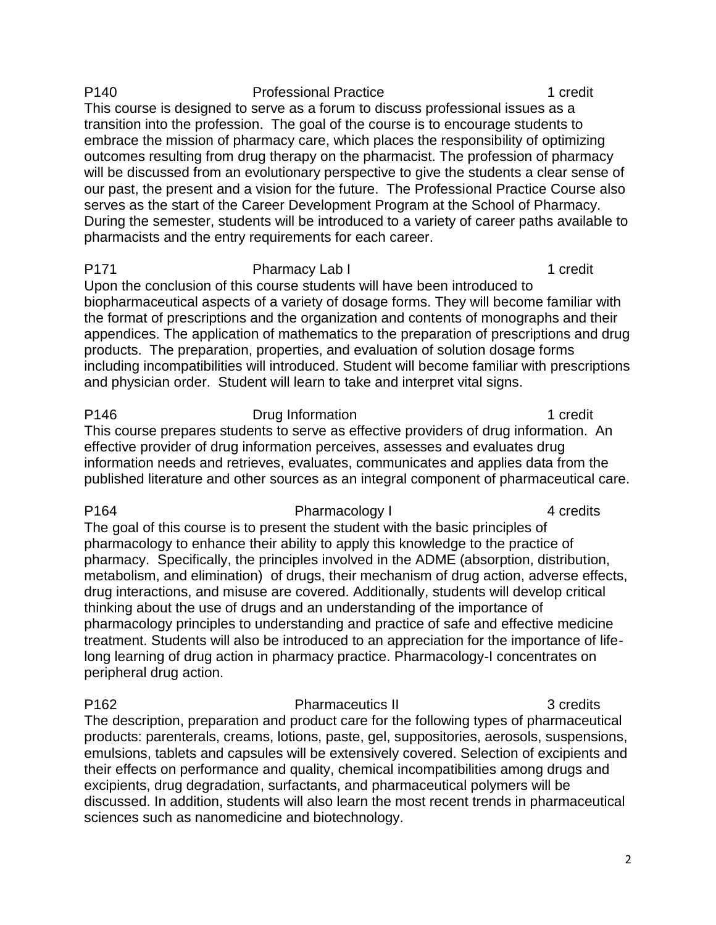### P140 Professional Practice **1** credit This course is designed to serve as a forum to discuss professional issues as a transition into the profession. The goal of the course is to encourage students to embrace the mission of pharmacy care, which places the responsibility of optimizing outcomes resulting from drug therapy on the pharmacist. The profession of pharmacy will be discussed from an evolutionary perspective to give the students a clear sense of our past, the present and a vision for the future. The Professional Practice Course also serves as the start of the Career Development Program at the School of Pharmacy. During the semester, students will be introduced to a variety of career paths available to pharmacists and the entry requirements for each career.

# P171 Pharmacy Lab I 1 credit

Upon the conclusion of this course students will have been introduced to biopharmaceutical aspects of a variety of dosage forms. They will become familiar with the format of prescriptions and the organization and contents of monographs and their appendices. The application of mathematics to the preparation of prescriptions and drug products. The preparation, properties, and evaluation of solution dosage forms including incompatibilities will introduced. Student will become familiar with prescriptions and physician order. Student will learn to take and interpret vital signs.

P146 Drug Information 2008 P146

This course prepares students to serve as effective providers of drug information. An effective provider of drug information perceives, assesses and evaluates drug information needs and retrieves, evaluates, communicates and applies data from the published literature and other sources as an integral component of pharmaceutical care.

### P164 Pharmacology I 4 credits

The goal of this course is to present the student with the basic principles of pharmacology to enhance their ability to apply this knowledge to the practice of pharmacy. Specifically, the principles involved in the ADME (absorption, distribution, metabolism, and elimination) of drugs, their mechanism of drug action, adverse effects, drug interactions, and misuse are covered. Additionally, students will develop critical thinking about the use of drugs and an understanding of the importance of pharmacology principles to understanding and practice of safe and effective medicine treatment. Students will also be introduced to an appreciation for the importance of lifelong learning of drug action in pharmacy practice. Pharmacology-I concentrates on peripheral drug action.

P162 **Pharmaceutics II** 3 credits The description, preparation and product care for the following types of pharmaceutical products: parenterals, creams, lotions, paste, gel, suppositories, aerosols, suspensions, emulsions, tablets and capsules will be extensively covered. Selection of excipients and their effects on performance and quality, chemical incompatibilities among drugs and excipients, drug degradation, surfactants, and pharmaceutical polymers will be discussed. In addition, students will also learn the most recent trends in pharmaceutical sciences such as nanomedicine and biotechnology.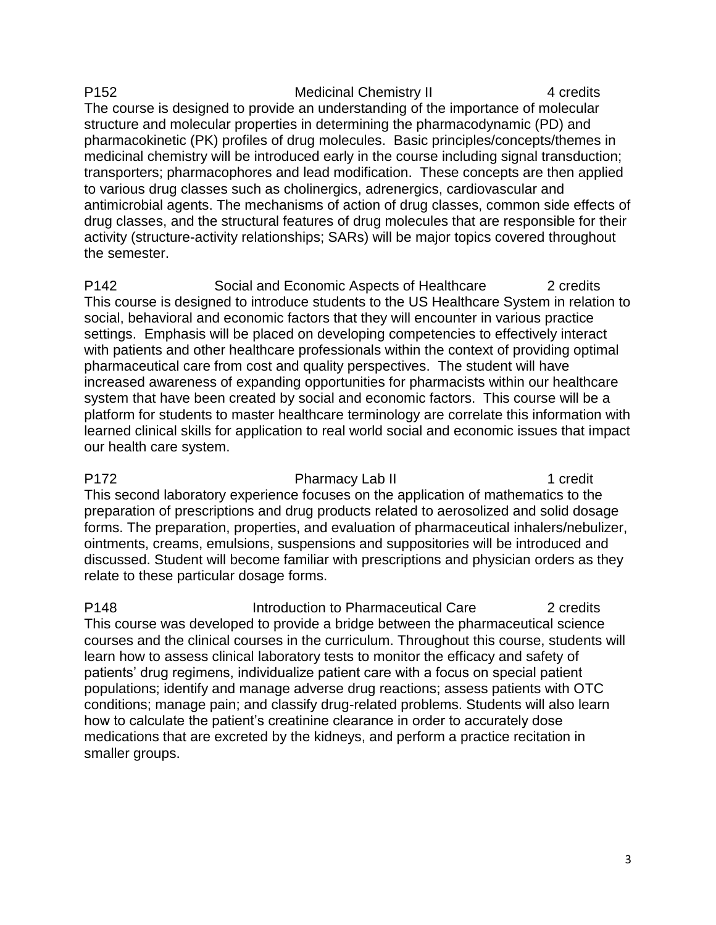P152 Medicinal Chemistry II 4 credits The course is designed to provide an understanding of the importance of molecular structure and molecular properties in determining the pharmacodynamic (PD) and pharmacokinetic (PK) profiles of drug molecules. Basic principles/concepts/themes in medicinal chemistry will be introduced early in the course including signal transduction; transporters; pharmacophores and lead modification. These concepts are then applied to various drug classes such as cholinergics, adrenergics, cardiovascular and antimicrobial agents. The mechanisms of action of drug classes, common side effects of drug classes, and the structural features of drug molecules that are responsible for their activity (structure-activity relationships; SARs) will be major topics covered throughout the semester.

P142 Social and Economic Aspects of Healthcare 2 credits This course is designed to introduce students to the US Healthcare System in relation to social, behavioral and economic factors that they will encounter in various practice settings. Emphasis will be placed on developing competencies to effectively interact with patients and other healthcare professionals within the context of providing optimal pharmaceutical care from cost and quality perspectives. The student will have increased awareness of expanding opportunities for pharmacists within our healthcare system that have been created by social and economic factors. This course will be a platform for students to master healthcare terminology are correlate this information with learned clinical skills for application to real world social and economic issues that impact our health care system.

P172 **Pharmacy Lab II 1 credit** This second laboratory experience focuses on the application of mathematics to the preparation of prescriptions and drug products related to aerosolized and solid dosage forms. The preparation, properties, and evaluation of pharmaceutical inhalers/nebulizer, ointments, creams, emulsions, suspensions and suppositories will be introduced and discussed. Student will become familiar with prescriptions and physician orders as they relate to these particular dosage forms.

P148 **Introduction to Pharmaceutical Care** 2 credits This course was developed to provide a bridge between the pharmaceutical science courses and the clinical courses in the curriculum. Throughout this course, students will learn how to assess clinical laboratory tests to monitor the efficacy and safety of patients' drug regimens, individualize patient care with a focus on special patient populations; identify and manage adverse drug reactions; assess patients with OTC conditions; manage pain; and classify drug-related problems. Students will also learn how to calculate the patient's creatinine clearance in order to accurately dose medications that are excreted by the kidneys, and perform a practice recitation in smaller groups.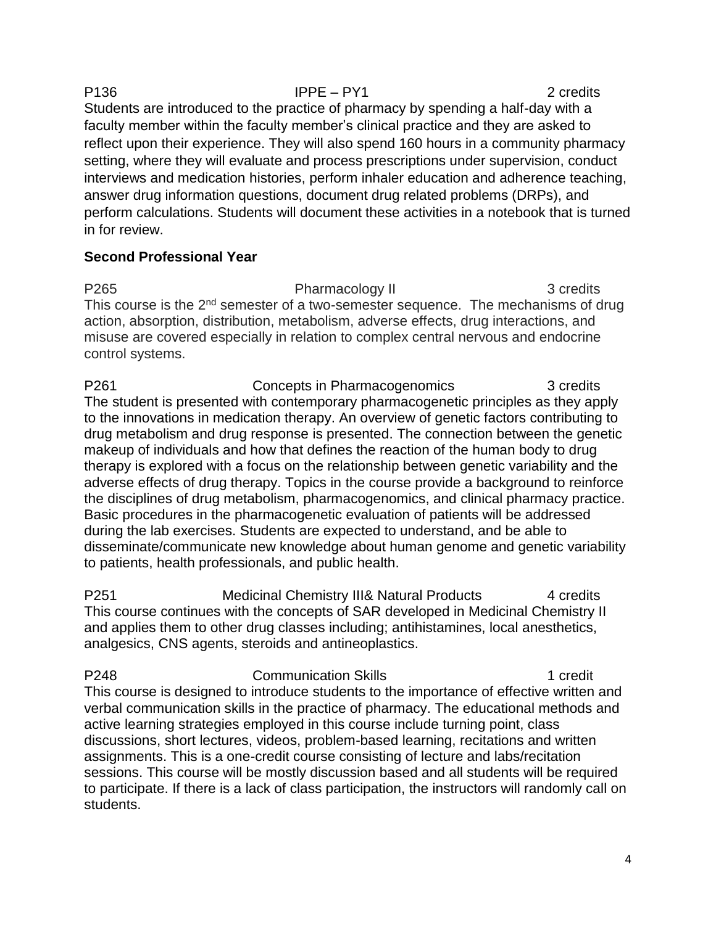P136 **IPPE – PY1** 2 credits Students are introduced to the practice of pharmacy by spending a half-day with a faculty member within the faculty member's clinical practice and they are asked to reflect upon their experience. They will also spend 160 hours in a community pharmacy setting, where they will evaluate and process prescriptions under supervision, conduct interviews and medication histories, perform inhaler education and adherence teaching, answer drug information questions, document drug related problems (DRPs), and perform calculations. Students will document these activities in a notebook that is turned in for review.

## **Second Professional Year**

P265 Pharmacology II 3 credits This course is the  $2^{nd}$  semester of a two-semester sequence. The mechanisms of drug action, absorption, distribution, metabolism, adverse effects, drug interactions, and misuse are covered especially in relation to complex central nervous and endocrine control systems.

P261 Concepts in Pharmacogenomics 3 credits The student is presented with contemporary pharmacogenetic principles as they apply to the innovations in medication therapy. An overview of genetic factors contributing to drug metabolism and drug response is presented. The connection between the genetic makeup of individuals and how that defines the reaction of the human body to drug therapy is explored with a focus on the relationship between genetic variability and the adverse effects of drug therapy. Topics in the course provide a background to reinforce the disciplines of drug metabolism, pharmacogenomics, and clinical pharmacy practice. Basic procedures in the pharmacogenetic evaluation of patients will be addressed during the lab exercises. Students are expected to understand, and be able to disseminate/communicate new knowledge about human genome and genetic variability to patients, health professionals, and public health.

P251 Medicinal Chemistry III& Natural Products 4 credits This course continues with the concepts of SAR developed in Medicinal Chemistry II and applies them to other drug classes including; antihistamines, local anesthetics, analgesics, CNS agents, steroids and antineoplastics.

P248 Communication Skills 1 credit This course is designed to introduce students to the importance of effective written and verbal communication skills in the practice of pharmacy. The educational methods and active learning strategies employed in this course include turning point, class discussions, short lectures, videos, problem-based learning, recitations and written assignments. This is a one-credit course consisting of lecture and labs/recitation sessions. This course will be mostly discussion based and all students will be required to participate. If there is a lack of class participation, the instructors will randomly call on students.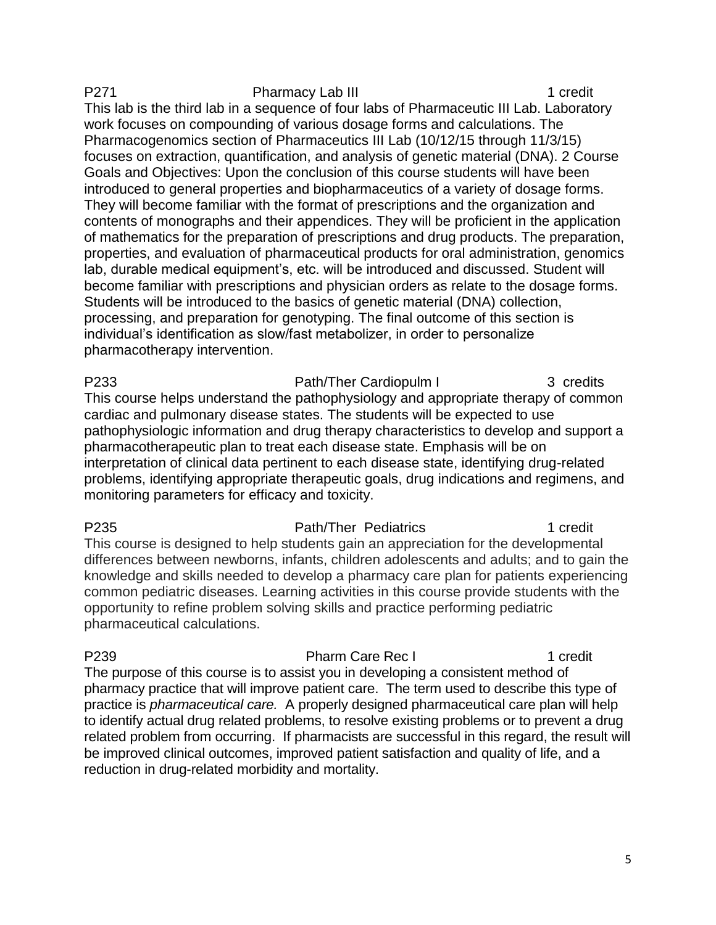P271 Pharmacy Lab III 1 credit This lab is the third lab in a sequence of four labs of Pharmaceutic III Lab. Laboratory work focuses on compounding of various dosage forms and calculations. The Pharmacogenomics section of Pharmaceutics III Lab (10/12/15 through 11/3/15) focuses on extraction, quantification, and analysis of genetic material (DNA). 2 Course Goals and Objectives: Upon the conclusion of this course students will have been introduced to general properties and biopharmaceutics of a variety of dosage forms. They will become familiar with the format of prescriptions and the organization and contents of monographs and their appendices. They will be proficient in the application of mathematics for the preparation of prescriptions and drug products. The preparation, properties, and evaluation of pharmaceutical products for oral administration, genomics lab, durable medical equipment's, etc. will be introduced and discussed. Student will become familiar with prescriptions and physician orders as relate to the dosage forms. Students will be introduced to the basics of genetic material (DNA) collection, processing, and preparation for genotyping. The final outcome of this section is individual's identification as slow/fast metabolizer, in order to personalize pharmacotherapy intervention.

P233 Path/Ther Cardiopulm I 3 credits This course helps understand the pathophysiology and appropriate therapy of common cardiac and pulmonary disease states. The students will be expected to use pathophysiologic information and drug therapy characteristics to develop and support a pharmacotherapeutic plan to treat each disease state. Emphasis will be on interpretation of clinical data pertinent to each disease state, identifying drug-related problems, identifying appropriate therapeutic goals, drug indications and regimens, and monitoring parameters for efficacy and toxicity.

P235 **Path/Ther Pediatrics** 1 credit This course is designed to help students gain an appreciation for the developmental differences between newborns, infants, children adolescents and adults; and to gain the knowledge and skills needed to develop a pharmacy care plan for patients experiencing common pediatric diseases. Learning activities in this course provide students with the opportunity to refine problem solving skills and practice performing pediatric pharmaceutical calculations.

P239 **Pharm Care Rec I** 239 **Pharm Care Rec I** 239 The purpose of this course is to assist you in developing a consistent method of pharmacy practice that will improve patient care. The term used to describe this type of practice is *pharmaceutical care.* A properly designed pharmaceutical care plan will help to identify actual drug related problems, to resolve existing problems or to prevent a drug related problem from occurring. If pharmacists are successful in this regard, the result will be improved clinical outcomes, improved patient satisfaction and quality of life, and a reduction in drug-related morbidity and mortality.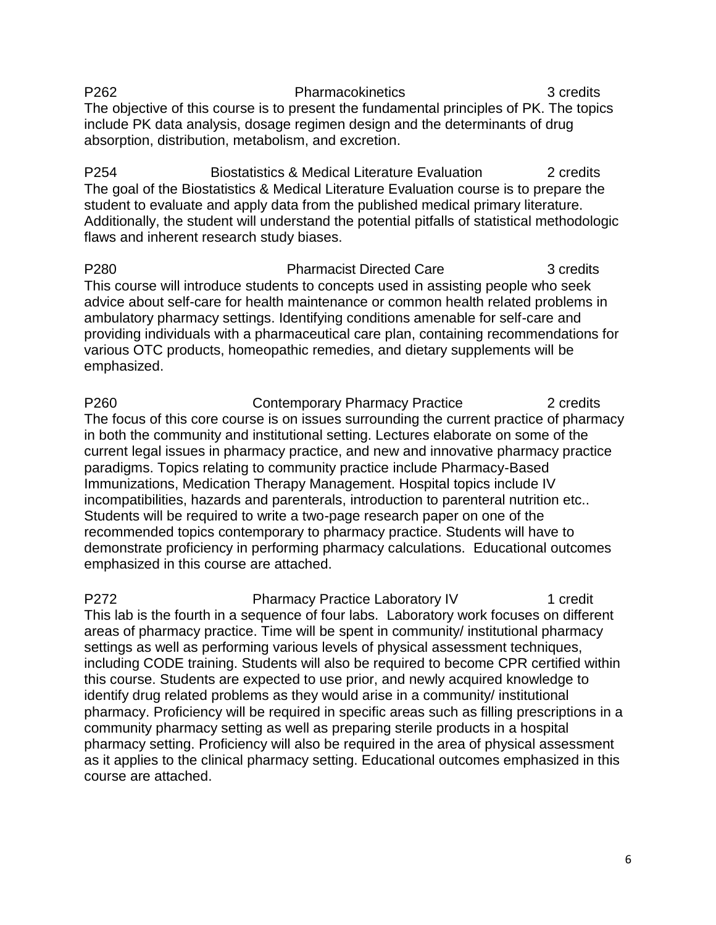P262 Pharmacokinetics 3 credits The objective of this course is to present the fundamental principles of PK. The topics include PK data analysis, dosage regimen design and the determinants of drug absorption, distribution, metabolism, and excretion.

P254 Biostatistics & Medical Literature Evaluation 2 credits The goal of the Biostatistics & Medical Literature Evaluation course is to prepare the student to evaluate and apply data from the published medical primary literature. Additionally, the student will understand the potential pitfalls of statistical methodologic flaws and inherent research study biases.

P280 Pharmacist Directed Care 3 credits This course will introduce students to concepts used in assisting people who seek advice about self-care for health maintenance or common health related problems in ambulatory pharmacy settings. Identifying conditions amenable for self-care and providing individuals with a pharmaceutical care plan, containing recommendations for various OTC products, homeopathic remedies, and dietary supplements will be emphasized.

P260 **Contemporary Pharmacy Practice** 2 credits The focus of this core course is on issues surrounding the current practice of pharmacy in both the community and institutional setting. Lectures elaborate on some of the current legal issues in pharmacy practice, and new and innovative pharmacy practice paradigms. Topics relating to community practice include Pharmacy-Based Immunizations, Medication Therapy Management. Hospital topics include IV incompatibilities, hazards and parenterals, introduction to parenteral nutrition etc.. Students will be required to write a two-page research paper on one of the recommended topics contemporary to pharmacy practice. Students will have to demonstrate proficiency in performing pharmacy calculations. Educational outcomes emphasized in this course are attached.

P272 Pharmacy Practice Laboratory IV 1 credit This lab is the fourth in a sequence of four labs. Laboratory work focuses on different areas of pharmacy practice. Time will be spent in community/ institutional pharmacy settings as well as performing various levels of physical assessment techniques, including CODE training. Students will also be required to become CPR certified within this course. Students are expected to use prior, and newly acquired knowledge to identify drug related problems as they would arise in a community/ institutional pharmacy. Proficiency will be required in specific areas such as filling prescriptions in a community pharmacy setting as well as preparing sterile products in a hospital pharmacy setting. Proficiency will also be required in the area of physical assessment as it applies to the clinical pharmacy setting. Educational outcomes emphasized in this course are attached.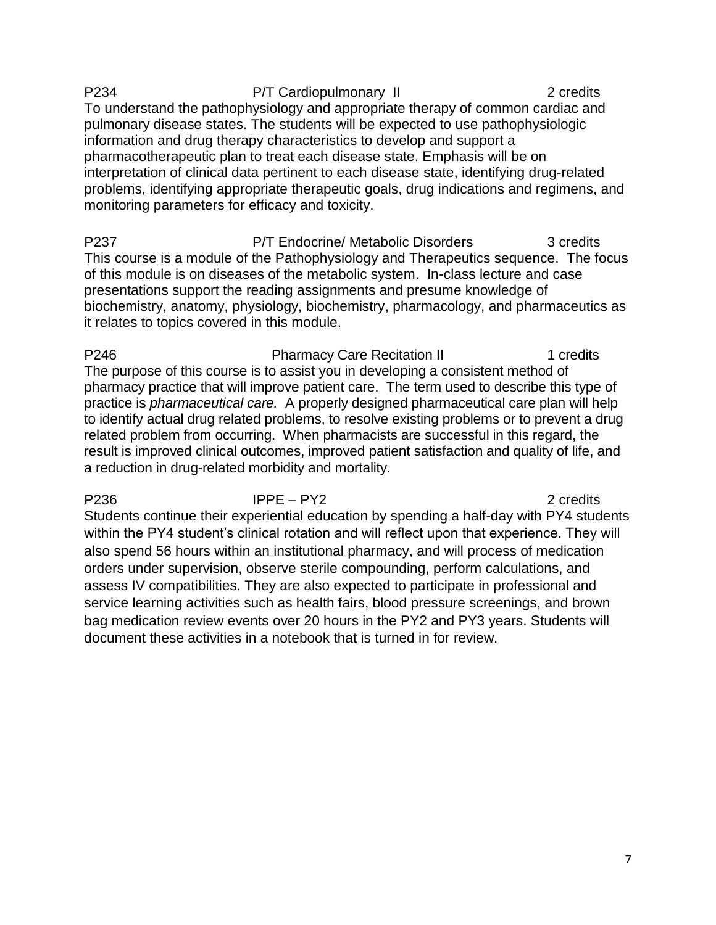P234 P/T Cardiopulmonary II 2 credits To understand the pathophysiology and appropriate therapy of common cardiac and pulmonary disease states. The students will be expected to use pathophysiologic information and drug therapy characteristics to develop and support a pharmacotherapeutic plan to treat each disease state. Emphasis will be on interpretation of clinical data pertinent to each disease state, identifying drug-related problems, identifying appropriate therapeutic goals, drug indications and regimens, and monitoring parameters for efficacy and toxicity.

P237 P/T Endocrine/ Metabolic Disorders 3 credits This course is a module of the Pathophysiology and Therapeutics sequence. The focus of this module is on diseases of the metabolic system. In-class lecture and case presentations support the reading assignments and presume knowledge of biochemistry, anatomy, physiology, biochemistry, pharmacology, and pharmaceutics as it relates to topics covered in this module.

P246 **Pharmacy Care Recitation II** 1 credits The purpose of this course is to assist you in developing a consistent method of pharmacy practice that will improve patient care. The term used to describe this type of practice is *pharmaceutical care.* A properly designed pharmaceutical care plan will help to identify actual drug related problems, to resolve existing problems or to prevent a drug related problem from occurring. When pharmacists are successful in this regard, the result is improved clinical outcomes, improved patient satisfaction and quality of life, and a reduction in drug-related morbidity and mortality.

P236 IPPE – PY2 2 credits Students continue their experiential education by spending a half-day with PY4 students within the PY4 student's clinical rotation and will reflect upon that experience. They will also spend 56 hours within an institutional pharmacy, and will process of medication orders under supervision, observe sterile compounding, perform calculations, and assess IV compatibilities. They are also expected to participate in professional and service learning activities such as health fairs, blood pressure screenings, and brown bag medication review events over 20 hours in the PY2 and PY3 years. Students will document these activities in a notebook that is turned in for review.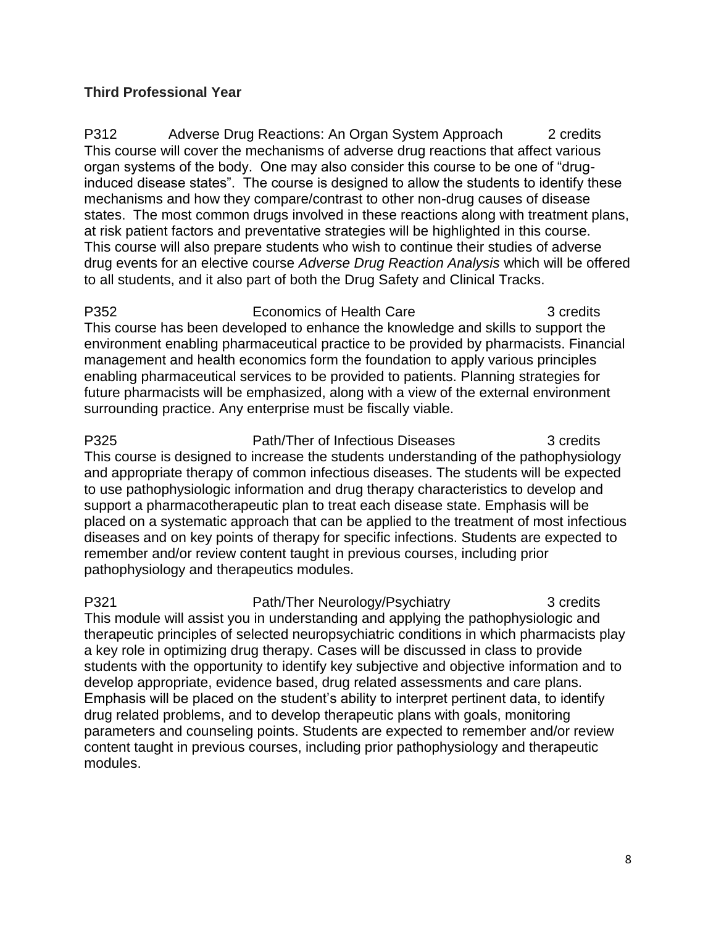## **Third Professional Year**

P312 Adverse Drug Reactions: An Organ System Approach 2 credits This course will cover the mechanisms of adverse drug reactions that affect various organ systems of the body. One may also consider this course to be one of "druginduced disease states". The course is designed to allow the students to identify these mechanisms and how they compare/contrast to other non-drug causes of disease states. The most common drugs involved in these reactions along with treatment plans, at risk patient factors and preventative strategies will be highlighted in this course. This course will also prepare students who wish to continue their studies of adverse drug events for an elective course *Adverse Drug Reaction Analysis* which will be offered to all students, and it also part of both the Drug Safety and Clinical Tracks.

P352 **Exercise Express Economics of Health Care Example 2** 3 credits This course has been developed to enhance the knowledge and skills to support the environment enabling pharmaceutical practice to be provided by pharmacists. Financial management and health economics form the foundation to apply various principles enabling pharmaceutical services to be provided to patients. Planning strategies for future pharmacists will be emphasized, along with a view of the external environment surrounding practice. Any enterprise must be fiscally viable.

P325 **Path/Ther of Infectious Diseases** 3 credits This course is designed to increase the students understanding of the pathophysiology and appropriate therapy of common infectious diseases. The students will be expected to use pathophysiologic information and drug therapy characteristics to develop and support a pharmacotherapeutic plan to treat each disease state. Emphasis will be placed on a systematic approach that can be applied to the treatment of most infectious diseases and on key points of therapy for specific infections. Students are expected to remember and/or review content taught in previous courses, including prior pathophysiology and therapeutics modules.

P321 **Path/Ther Neurology/Psychiatry** 3 credits This module will assist you in understanding and applying the pathophysiologic and therapeutic principles of selected neuropsychiatric conditions in which pharmacists play a key role in optimizing drug therapy. Cases will be discussed in class to provide students with the opportunity to identify key subjective and objective information and to develop appropriate, evidence based, drug related assessments and care plans. Emphasis will be placed on the student's ability to interpret pertinent data, to identify drug related problems, and to develop therapeutic plans with goals, monitoring parameters and counseling points. Students are expected to remember and/or review content taught in previous courses, including prior pathophysiology and therapeutic modules.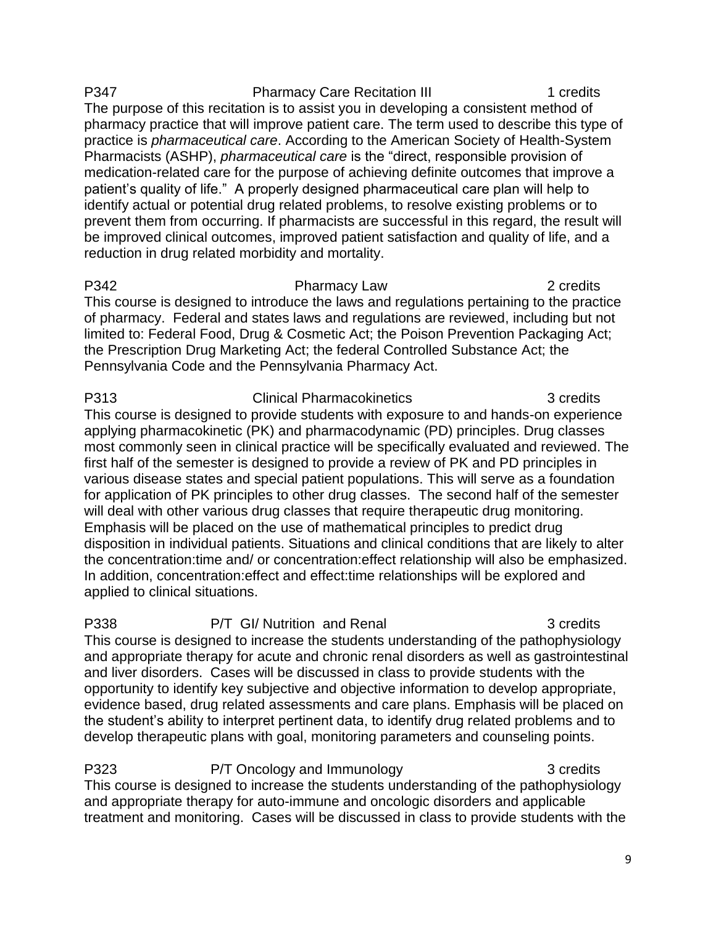P347 Pharmacy Care Recitation III 1 credits The purpose of this recitation is to assist you in developing a consistent method of pharmacy practice that will improve patient care. The term used to describe this type of practice is *pharmaceutical care*. According to the American Society of Health-System Pharmacists (ASHP), *pharmaceutical care* is the "direct, responsible provision of medication-related care for the purpose of achieving definite outcomes that improve a patient's quality of life." A properly designed pharmaceutical care plan will help to identify actual or potential drug related problems, to resolve existing problems or to prevent them from occurring. If pharmacists are successful in this regard, the result will be improved clinical outcomes, improved patient satisfaction and quality of life, and a reduction in drug related morbidity and mortality.

P342 Pharmacy Law 2 credits This course is designed to introduce the laws and regulations pertaining to the practice of pharmacy. Federal and states laws and regulations are reviewed, including but not limited to: Federal Food, Drug & Cosmetic Act; the Poison Prevention Packaging Act; the Prescription Drug Marketing Act; the federal Controlled Substance Act; the Pennsylvania Code and the Pennsylvania Pharmacy Act.

P313 Clinical Pharmacokinetics 3 credits This course is designed to provide students with exposure to and hands-on experience applying pharmacokinetic (PK) and pharmacodynamic (PD) principles. Drug classes most commonly seen in clinical practice will be specifically evaluated and reviewed. The first half of the semester is designed to provide a review of PK and PD principles in various disease states and special patient populations. This will serve as a foundation for application of PK principles to other drug classes. The second half of the semester will deal with other various drug classes that require therapeutic drug monitoring. Emphasis will be placed on the use of mathematical principles to predict drug disposition in individual patients. Situations and clinical conditions that are likely to alter the concentration:time and/ or concentration:effect relationship will also be emphasized. In addition, concentration:effect and effect:time relationships will be explored and applied to clinical situations.

P338 P/T GI/ Nutrition and Renal 3 credits This course is designed to increase the students understanding of the pathophysiology and appropriate therapy for acute and chronic renal disorders as well as gastrointestinal and liver disorders. Cases will be discussed in class to provide students with the opportunity to identify key subjective and objective information to develop appropriate, evidence based, drug related assessments and care plans. Emphasis will be placed on the student's ability to interpret pertinent data, to identify drug related problems and to develop therapeutic plans with goal, monitoring parameters and counseling points.

P323 P/T Oncology and Immunology 23 Credits This course is designed to increase the students understanding of the pathophysiology and appropriate therapy for auto-immune and oncologic disorders and applicable treatment and monitoring. Cases will be discussed in class to provide students with the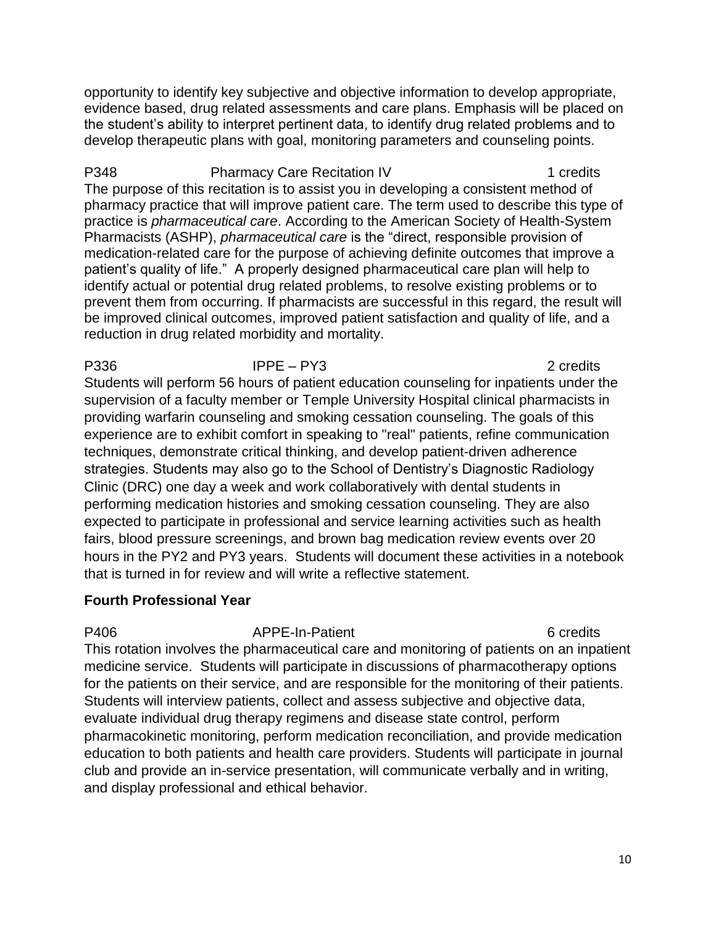opportunity to identify key subjective and objective information to develop appropriate, evidence based, drug related assessments and care plans. Emphasis will be placed on the student's ability to interpret pertinent data, to identify drug related problems and to develop therapeutic plans with goal, monitoring parameters and counseling points.

P348 Pharmacy Care Recitation IV 1 credits The purpose of this recitation is to assist you in developing a consistent method of pharmacy practice that will improve patient care. The term used to describe this type of practice is *pharmaceutical care*. According to the American Society of Health-System Pharmacists (ASHP), *pharmaceutical care* is the "direct, responsible provision of medication-related care for the purpose of achieving definite outcomes that improve a patient's quality of life." A properly designed pharmaceutical care plan will help to identify actual or potential drug related problems, to resolve existing problems or to prevent them from occurring. If pharmacists are successful in this regard, the result will be improved clinical outcomes, improved patient satisfaction and quality of life, and a reduction in drug related morbidity and mortality.

P336 IPPE – PY3 2 credits Students will perform 56 hours of patient education counseling for inpatients under the supervision of a faculty member or Temple University Hospital clinical pharmacists in providing warfarin counseling and smoking cessation counseling. The goals of this experience are to exhibit comfort in speaking to "real" patients, refine communication techniques, demonstrate critical thinking, and develop patient-driven adherence strategies. Students may also go to the School of Dentistry's Diagnostic Radiology Clinic (DRC) one day a week and work collaboratively with dental students in performing medication histories and smoking cessation counseling. They are also expected to participate in professional and service learning activities such as health fairs, blood pressure screenings, and brown bag medication review events over 20 hours in the PY2 and PY3 years. Students will document these activities in a notebook that is turned in for review and will write a reflective statement.

## **Fourth Professional Year**

P406 APPE-In-Patient 6 credits This rotation involves the pharmaceutical care and monitoring of patients on an inpatient medicine service. Students will participate in discussions of pharmacotherapy options for the patients on their service, and are responsible for the monitoring of their patients. Students will interview patients, collect and assess subjective and objective data, evaluate individual drug therapy regimens and disease state control, perform pharmacokinetic monitoring, perform medication reconciliation, and provide medication education to both patients and health care providers. Students will participate in journal club and provide an in-service presentation, will communicate verbally and in writing, and display professional and ethical behavior.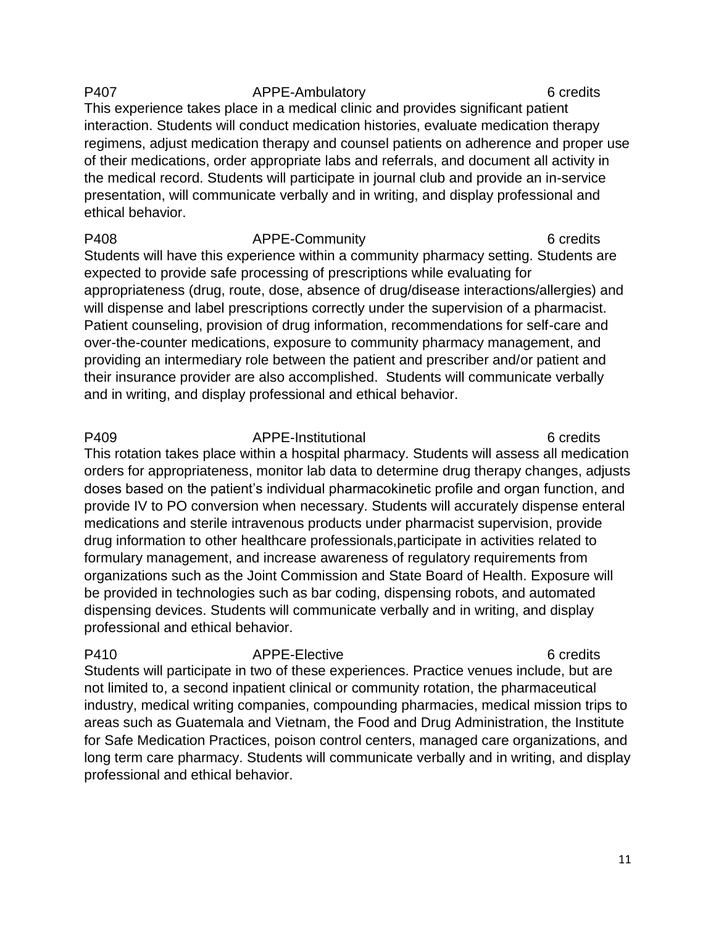## P407 **APPE-Ambulatory** 6 credits 6 credits This experience takes place in a medical clinic and provides significant patient interaction. Students will conduct medication histories, evaluate medication therapy regimens, adjust medication therapy and counsel patients on adherence and proper use of their medications, order appropriate labs and referrals, and document all activity in the medical record. Students will participate in journal club and provide an in-service presentation, will communicate verbally and in writing, and display professional and ethical behavior.

P408 APPE-Community 6 credits Students will have this experience within a community pharmacy setting. Students are expected to provide safe processing of prescriptions while evaluating for appropriateness (drug, route, dose, absence of drug/disease interactions/allergies) and will dispense and label prescriptions correctly under the supervision of a pharmacist. Patient counseling, provision of drug information, recommendations for self-care and over-the-counter medications, exposure to community pharmacy management, and providing an intermediary role between the patient and prescriber and/or patient and their insurance provider are also accomplished. Students will communicate verbally and in writing, and display professional and ethical behavior.

P409 APPE-Institutional 6 credits This rotation takes place within a hospital pharmacy. Students will assess all medication orders for appropriateness, monitor lab data to determine drug therapy changes, adjusts doses based on the patient's individual pharmacokinetic profile and organ function, and provide IV to PO conversion when necessary. Students will accurately dispense enteral medications and sterile intravenous products under pharmacist supervision, provide drug information to other healthcare professionals,participate in activities related to formulary management, and increase awareness of regulatory requirements from organizations such as the Joint Commission and State Board of Health. Exposure will be provided in technologies such as bar coding, dispensing robots, and automated dispensing devices. Students will communicate verbally and in writing, and display professional and ethical behavior.

P410 **APPE-Elective A** APPE-Elective 6 credits Students will participate in two of these experiences. Practice venues include, but are not limited to, a second inpatient clinical or community rotation, the pharmaceutical industry, medical writing companies, compounding pharmacies, medical mission trips to areas such as Guatemala and Vietnam, the Food and Drug Administration, the Institute for Safe Medication Practices, poison control centers, managed care organizations, and long term care pharmacy. Students will communicate verbally and in writing, and display professional and ethical behavior.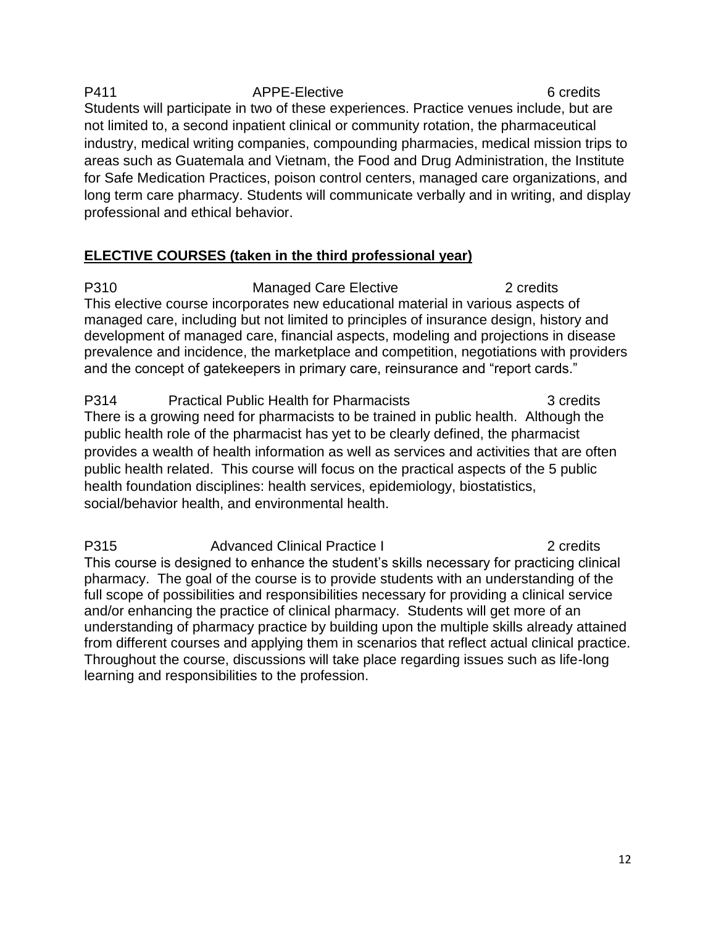## P411 **APPE-Elective 6 credits** 6 credits Students will participate in two of these experiences. Practice venues include, but are not limited to, a second inpatient clinical or community rotation, the pharmaceutical industry, medical writing companies, compounding pharmacies, medical mission trips to areas such as Guatemala and Vietnam, the Food and Drug Administration, the Institute for Safe Medication Practices, poison control centers, managed care organizations, and long term care pharmacy. Students will communicate verbally and in writing, and display professional and ethical behavior.

# **ELECTIVE COURSES (taken in the third professional year)**

P310 Managed Care Elective 2 credits This elective course incorporates new educational material in various aspects of managed care, including but not limited to principles of insurance design, history and development of managed care, financial aspects, modeling and projections in disease prevalence and incidence, the marketplace and competition, negotiations with providers and the concept of gatekeepers in primary care, reinsurance and "report cards."

P314 Practical Public Health for Pharmacists 3 credits There is a growing need for pharmacists to be trained in public health. Although the public health role of the pharmacist has yet to be clearly defined, the pharmacist provides a wealth of health information as well as services and activities that are often public health related. This course will focus on the practical aspects of the 5 public health foundation disciplines: health services, epidemiology, biostatistics, social/behavior health, and environmental health.

P315 Advanced Clinical Practice I 2 credits This course is designed to enhance the student's skills necessary for practicing clinical pharmacy. The goal of the course is to provide students with an understanding of the full scope of possibilities and responsibilities necessary for providing a clinical service and/or enhancing the practice of clinical pharmacy. Students will get more of an understanding of pharmacy practice by building upon the multiple skills already attained from different courses and applying them in scenarios that reflect actual clinical practice. Throughout the course, discussions will take place regarding issues such as life-long learning and responsibilities to the profession.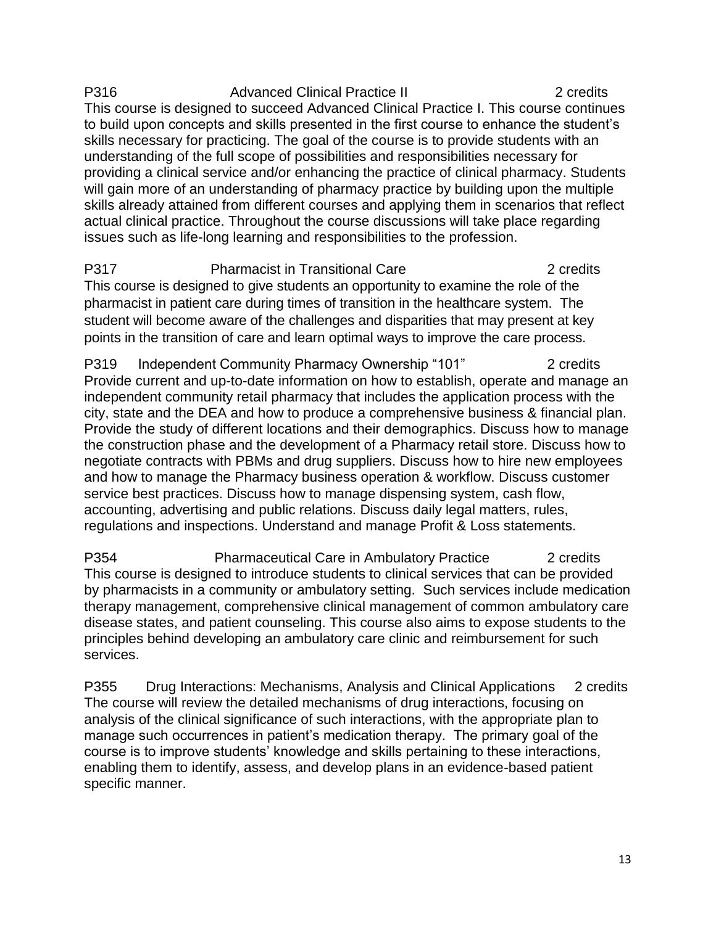P316 Advanced Clinical Practice II 2 credits This course is designed to succeed Advanced Clinical Practice I. This course continues to build upon concepts and skills presented in the first course to enhance the student's skills necessary for practicing. The goal of the course is to provide students with an understanding of the full scope of possibilities and responsibilities necessary for providing a clinical service and/or enhancing the practice of clinical pharmacy. Students will gain more of an understanding of pharmacy practice by building upon the multiple skills already attained from different courses and applying them in scenarios that reflect actual clinical practice. Throughout the course discussions will take place regarding issues such as life-long learning and responsibilities to the profession.

P317 Pharmacist in Transitional Care 2 credits This course is designed to give students an opportunity to examine the role of the pharmacist in patient care during times of transition in the healthcare system. The student will become aware of the challenges and disparities that may present at key points in the transition of care and learn optimal ways to improve the care process.

P319 Independent Community Pharmacy Ownership "101" 2 credits Provide current and up-to-date information on how to establish, operate and manage an independent community retail pharmacy that includes the application process with the city, state and the DEA and how to produce a comprehensive business & financial plan. Provide the study of different locations and their demographics. Discuss how to manage the construction phase and the development of a Pharmacy retail store. Discuss how to negotiate contracts with PBMs and drug suppliers. Discuss how to hire new employees and how to manage the Pharmacy business operation & workflow. Discuss customer service best practices. Discuss how to manage dispensing system, cash flow, accounting, advertising and public relations. Discuss daily legal matters, rules, regulations and inspections. Understand and manage Profit & Loss statements.

P354 Pharmaceutical Care in Ambulatory Practice 2 credits This course is designed to introduce students to clinical services that can be provided by pharmacists in a community or ambulatory setting. Such services include medication therapy management, comprehensive clinical management of common ambulatory care disease states, and patient counseling. This course also aims to expose students to the principles behind developing an ambulatory care clinic and reimbursement for such services.

P355 Drug Interactions: Mechanisms, Analysis and Clinical Applications 2 credits The course will review the detailed mechanisms of drug interactions, focusing on analysis of the clinical significance of such interactions, with the appropriate plan to manage such occurrences in patient's medication therapy. The primary goal of the course is to improve students' knowledge and skills pertaining to these interactions, enabling them to identify, assess, and develop plans in an evidence-based patient specific manner.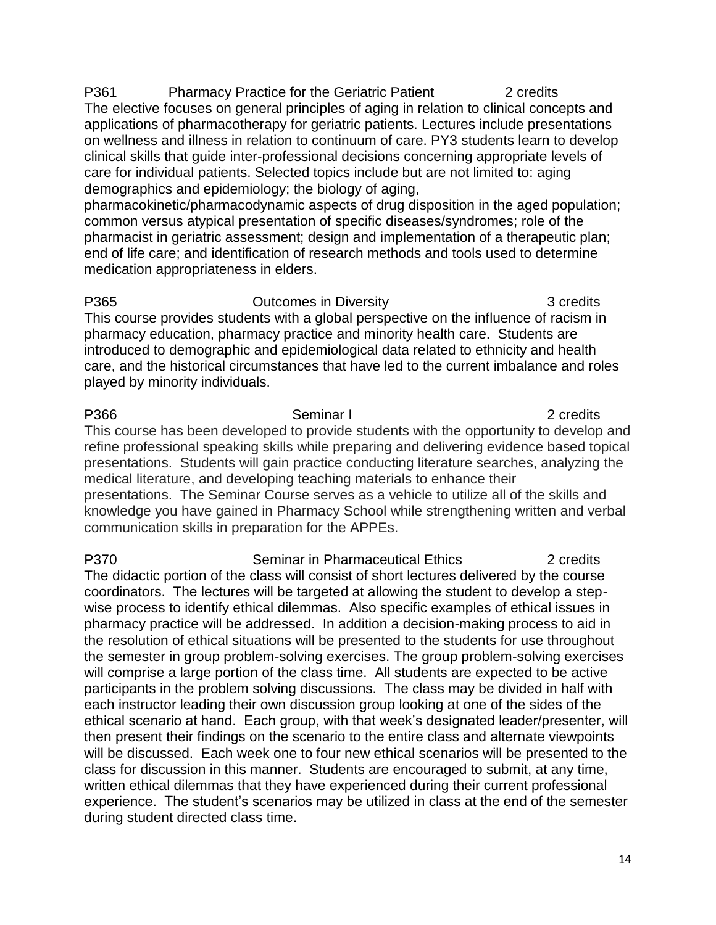P361 Pharmacy Practice for the Geriatric Patient 2 credits The elective focuses on general principles of aging in relation to clinical concepts and applications of pharmacotherapy for geriatric patients. Lectures include presentations on wellness and illness in relation to continuum of care. PY3 students learn to develop clinical skills that guide inter-professional decisions concerning appropriate levels of care for individual patients. Selected topics include but are not limited to: aging demographics and epidemiology; the biology of aging,

pharmacokinetic/pharmacodynamic aspects of drug disposition in the aged population; common versus atypical presentation of specific diseases/syndromes; role of the pharmacist in geriatric assessment; design and implementation of a therapeutic plan; end of life care; and identification of research methods and tools used to determine medication appropriateness in elders.

P365 **Dutcomes in Diversity Dutcomes in Diversity 1** 3 credits This course provides students with a global perspective on the influence of racism in pharmacy education, pharmacy practice and minority health care. Students are introduced to demographic and epidemiological data related to ethnicity and health care, and the historical circumstances that have led to the current imbalance and roles played by minority individuals.

P366 Seminar I 2 credits This course has been developed to provide students with the opportunity to develop and refine professional speaking skills while preparing and delivering evidence based topical presentations. Students will gain practice conducting literature searches, analyzing the medical literature, and developing teaching materials to enhance their presentations. The Seminar Course serves as a vehicle to utilize all of the skills and knowledge you have gained in Pharmacy School while strengthening written and verbal communication skills in preparation for the APPEs.

P370 Seminar in Pharmaceutical Ethics 2 credits The didactic portion of the class will consist of short lectures delivered by the course coordinators. The lectures will be targeted at allowing the student to develop a stepwise process to identify ethical dilemmas. Also specific examples of ethical issues in pharmacy practice will be addressed. In addition a decision-making process to aid in the resolution of ethical situations will be presented to the students for use throughout the semester in group problem-solving exercises. The group problem-solving exercises will comprise a large portion of the class time. All students are expected to be active participants in the problem solving discussions. The class may be divided in half with each instructor leading their own discussion group looking at one of the sides of the ethical scenario at hand. Each group, with that week's designated leader/presenter, will then present their findings on the scenario to the entire class and alternate viewpoints will be discussed. Each week one to four new ethical scenarios will be presented to the class for discussion in this manner. Students are encouraged to submit, at any time, written ethical dilemmas that they have experienced during their current professional experience. The student's scenarios may be utilized in class at the end of the semester during student directed class time.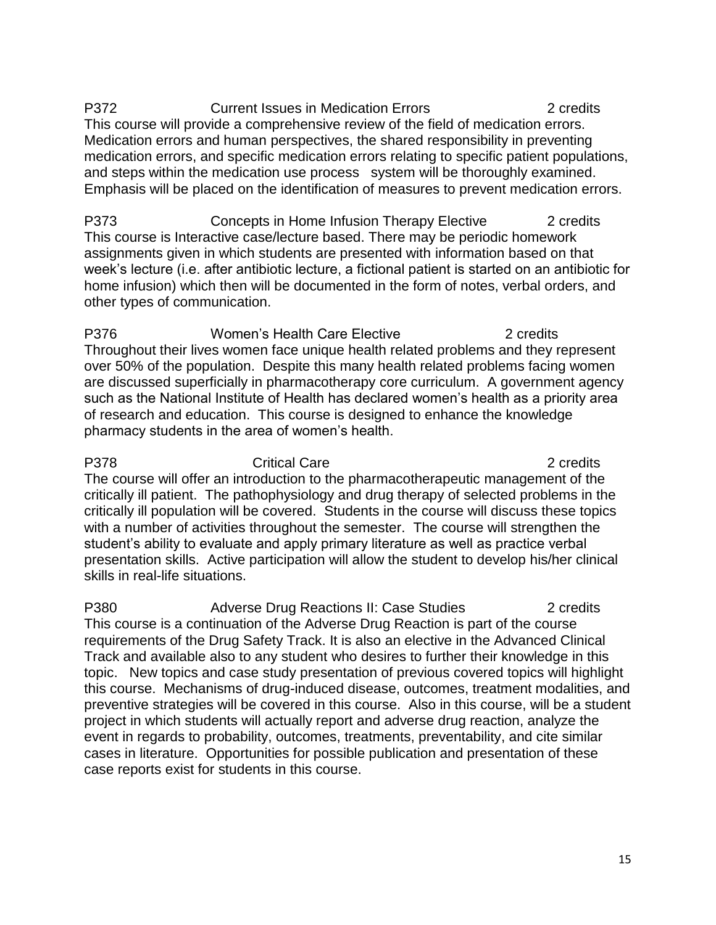P372 Current Issues in Medication Errors 2 credits This course will provide a comprehensive review of the field of medication errors. Medication errors and human perspectives, the shared responsibility in preventing medication errors, and specific medication errors relating to specific patient populations, and steps within the medication use process system will be thoroughly examined. Emphasis will be placed on the identification of measures to prevent medication errors.

P373 Concepts in Home Infusion Therapy Elective 2 credits This course is Interactive case/lecture based. There may be periodic homework assignments given in which students are presented with information based on that week's lecture (i.e. after antibiotic lecture, a fictional patient is started on an antibiotic for home infusion) which then will be documented in the form of notes, verbal orders, and other types of communication.

P376 Women's Health Care Elective 2 credits Throughout their lives women face unique health related problems and they represent over 50% of the population. Despite this many health related problems facing women are discussed superficially in pharmacotherapy core curriculum. A government agency such as the National Institute of Health has declared women's health as a priority area of research and education. This course is designed to enhance the knowledge pharmacy students in the area of women's health.

P378 Critical Care 2 credits The course will offer an introduction to the pharmacotherapeutic management of the critically ill patient. The pathophysiology and drug therapy of selected problems in the critically ill population will be covered. Students in the course will discuss these topics with a number of activities throughout the semester. The course will strengthen the student's ability to evaluate and apply primary literature as well as practice verbal presentation skills. Active participation will allow the student to develop his/her clinical skills in real-life situations.

P380 **Adverse Drug Reactions II: Case Studies** 2 credits This course is a continuation of the Adverse Drug Reaction is part of the course requirements of the Drug Safety Track. It is also an elective in the Advanced Clinical Track and available also to any student who desires to further their knowledge in this topic. New topics and case study presentation of previous covered topics will highlight this course. Mechanisms of drug-induced disease, outcomes, treatment modalities, and preventive strategies will be covered in this course. Also in this course, will be a student project in which students will actually report and adverse drug reaction, analyze the event in regards to probability, outcomes, treatments, preventability, and cite similar cases in literature. Opportunities for possible publication and presentation of these case reports exist for students in this course.